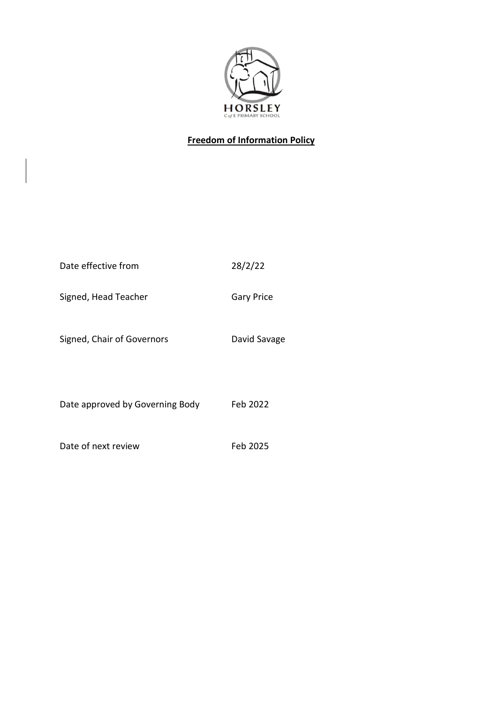

# **Freedom of Information Policy**

| Date effective from             | 28/2/22           |
|---------------------------------|-------------------|
| Signed, Head Teacher            | <b>Gary Price</b> |
| Signed, Chair of Governors      | David Savage      |
| Date approved by Governing Body | Feb 2022          |
| Date of next review             | Feb 2025          |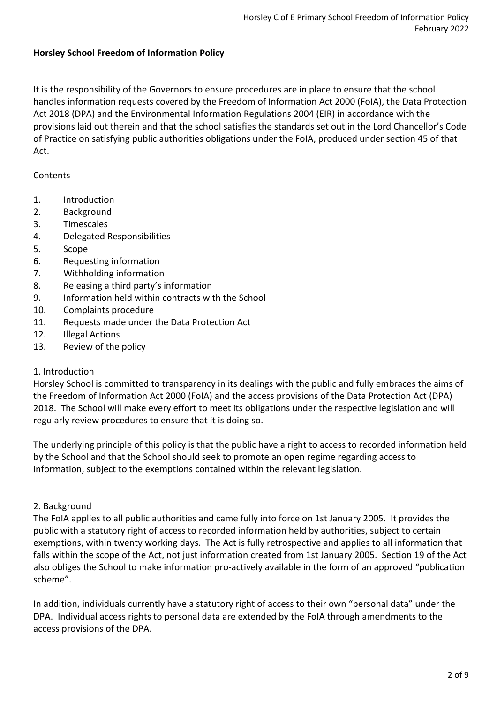### **Horsley School Freedom of Information Policy**

It is the responsibility of the Governors to ensure procedures are in place to ensure that the school handles information requests covered by the Freedom of Information Act 2000 (FoIA), the Data Protection Act 2018 (DPA) and the Environmental Information Regulations 2004 (EIR) in accordance with the provisions laid out therein and that the school satisfies the standards set out in the Lord Chancellor's Code of Practice on satisfying public authorities obligations under the FoIA, produced under section 45 of that Act.

#### Contents

- 1. Introduction
- 2. Background
- 3. Timescales
- 4. Delegated Responsibilities
- 5. Scope
- 6. Requesting information
- 7. Withholding information
- 8. Releasing a third party's information
- 9. Information held within contracts with the School
- 10. Complaints procedure
- 11. Requests made under the Data Protection Act
- 12. Illegal Actions
- 13. Review of the policy

### 1. Introduction

Horsley School is committed to transparency in its dealings with the public and fully embraces the aims of the Freedom of Information Act 2000 (FoIA) and the access provisions of the Data Protection Act (DPA) 2018. The School will make every effort to meet its obligations under the respective legislation and will regularly review procedures to ensure that it is doing so.

The underlying principle of this policy is that the public have a right to access to recorded information held by the School and that the School should seek to promote an open regime regarding access to information, subject to the exemptions contained within the relevant legislation.

### 2. Background

The FoIA applies to all public authorities and came fully into force on 1st January 2005. It provides the public with a statutory right of access to recorded information held by authorities, subject to certain exemptions, within twenty working days. The Act is fully retrospective and applies to all information that falls within the scope of the Act, not just information created from 1st January 2005. Section 19 of the Act also obliges the School to make information pro-actively available in the form of an approved "publication scheme".

In addition, individuals currently have a statutory right of access to their own "personal data" under the DPA. Individual access rights to personal data are extended by the FoIA through amendments to the access provisions of the DPA.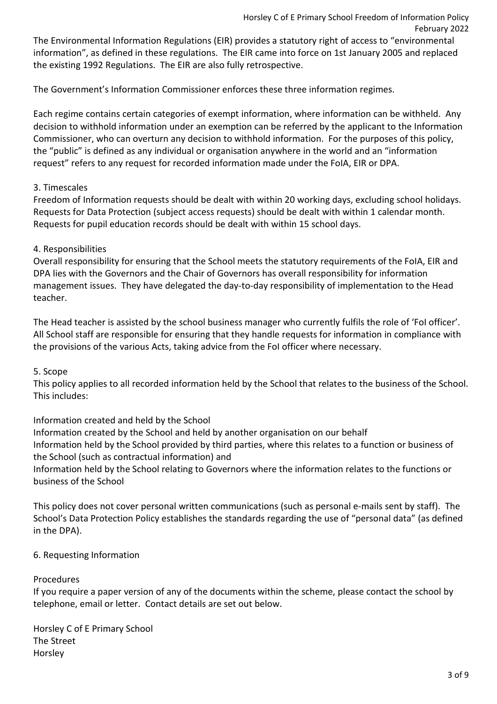The Environmental Information Regulations (EIR) provides a statutory right of access to "environmental information", as defined in these regulations. The EIR came into force on 1st January 2005 and replaced the existing 1992 Regulations. The EIR are also fully retrospective.

The Government's Information Commissioner enforces these three information regimes.

Each regime contains certain categories of exempt information, where information can be withheld. Any decision to withhold information under an exemption can be referred by the applicant to the Information Commissioner, who can overturn any decision to withhold information. For the purposes of this policy, the "public" is defined as any individual or organisation anywhere in the world and an "information request" refers to any request for recorded information made under the FoIA, EIR or DPA.

# 3. Timescales

Freedom of Information requests should be dealt with within 20 working days, excluding school holidays. Requests for Data Protection (subject access requests) should be dealt with within 1 calendar month. Requests for pupil education records should be dealt with within 15 school days.

## 4. Responsibilities

Overall responsibility for ensuring that the School meets the statutory requirements of the FoIA, EIR and DPA lies with the Governors and the Chair of Governors has overall responsibility for information management issues. They have delegated the day-to-day responsibility of implementation to the Head teacher.

The Head teacher is assisted by the school business manager who currently fulfils the role of 'FoI officer'. All School staff are responsible for ensuring that they handle requests for information in compliance with the provisions of the various Acts, taking advice from the FoI officer where necessary.

### 5. Scope

This policy applies to all recorded information held by the School that relates to the business of the School. This includes:

Information created and held by the School Information created by the School and held by another organisation on our behalf Information held by the School provided by third parties, where this relates to a function or business of the School (such as contractual information) and Information held by the School relating to Governors where the information relates to the functions or

This policy does not cover personal written communications (such as personal e-mails sent by staff). The School's Data Protection Policy establishes the standards regarding the use of "personal data" (as defined in the DPA).

# 6. Requesting Information

business of the School

### Procedures

If you require a paper version of any of the documents within the scheme, please contact the school by telephone, email or letter. Contact details are set out below.

Horsley C of E Primary School The Street Horsley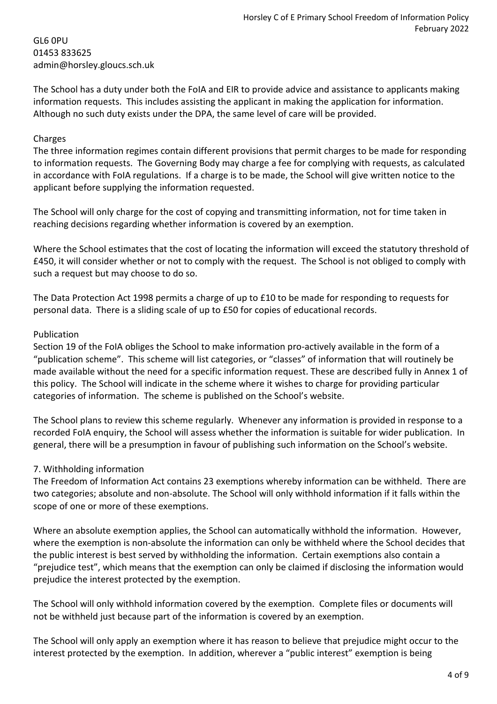GL6 0PU 01453 833625 admin@horsley.gloucs.sch.uk

The School has a duty under both the FoIA and EIR to provide advice and assistance to applicants making information requests. This includes assisting the applicant in making the application for information. Although no such duty exists under the DPA, the same level of care will be provided.

#### Charges

The three information regimes contain different provisions that permit charges to be made for responding to information requests. The Governing Body may charge a fee for complying with requests, as calculated in accordance with FoIA regulations. If a charge is to be made, the School will give written notice to the applicant before supplying the information requested.

The School will only charge for the cost of copying and transmitting information, not for time taken in reaching decisions regarding whether information is covered by an exemption.

Where the School estimates that the cost of locating the information will exceed the statutory threshold of £450, it will consider whether or not to comply with the request. The School is not obliged to comply with such a request but may choose to do so.

The Data Protection Act 1998 permits a charge of up to £10 to be made for responding to requests for personal data. There is a sliding scale of up to £50 for copies of educational records.

#### Publication

Section 19 of the FoIA obliges the School to make information pro-actively available in the form of a "publication scheme". This scheme will list categories, or "classes" of information that will routinely be made available without the need for a specific information request. These are described fully in Annex 1 of this policy. The School will indicate in the scheme where it wishes to charge for providing particular categories of information. The scheme is published on the School's website.

The School plans to review this scheme regularly. Whenever any information is provided in response to a recorded FoIA enquiry, the School will assess whether the information is suitable for wider publication. In general, there will be a presumption in favour of publishing such information on the School's website.

### 7. Withholding information

The Freedom of Information Act contains 23 exemptions whereby information can be withheld. There are two categories; absolute and non-absolute. The School will only withhold information if it falls within the scope of one or more of these exemptions.

Where an absolute exemption applies, the School can automatically withhold the information. However, where the exemption is non-absolute the information can only be withheld where the School decides that the public interest is best served by withholding the information. Certain exemptions also contain a "prejudice test", which means that the exemption can only be claimed if disclosing the information would prejudice the interest protected by the exemption.

The School will only withhold information covered by the exemption. Complete files or documents will not be withheld just because part of the information is covered by an exemption.

The School will only apply an exemption where it has reason to believe that prejudice might occur to the interest protected by the exemption. In addition, wherever a "public interest" exemption is being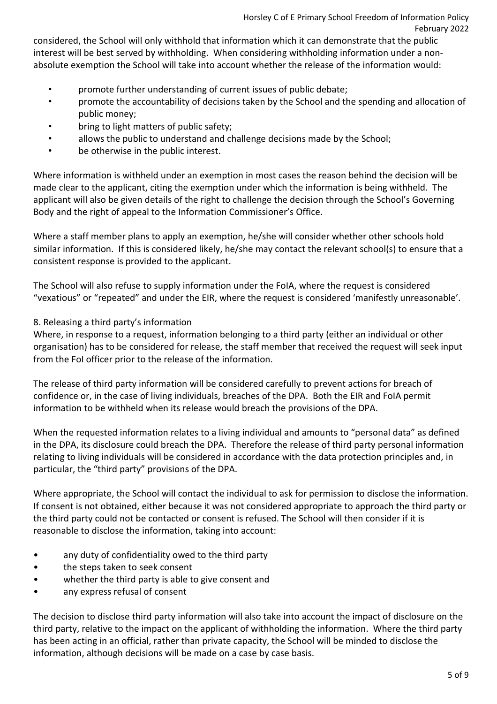considered, the School will only withhold that information which it can demonstrate that the public interest will be best served by withholding. When considering withholding information under a nonabsolute exemption the School will take into account whether the release of the information would:

- promote further understanding of current issues of public debate;
- promote the accountability of decisions taken by the School and the spending and allocation of public money;
- bring to light matters of public safety;
- allows the public to understand and challenge decisions made by the School;
- be otherwise in the public interest.

Where information is withheld under an exemption in most cases the reason behind the decision will be made clear to the applicant, citing the exemption under which the information is being withheld. The applicant will also be given details of the right to challenge the decision through the School's Governing Body and the right of appeal to the Information Commissioner's Office.

Where a staff member plans to apply an exemption, he/she will consider whether other schools hold similar information. If this is considered likely, he/she may contact the relevant school(s) to ensure that a consistent response is provided to the applicant.

The School will also refuse to supply information under the FoIA, where the request is considered "vexatious" or "repeated" and under the EIR, where the request is considered 'manifestly unreasonable'.

### 8. Releasing a third party's information

Where, in response to a request, information belonging to a third party (either an individual or other organisation) has to be considered for release, the staff member that received the request will seek input from the FoI officer prior to the release of the information.

The release of third party information will be considered carefully to prevent actions for breach of confidence or, in the case of living individuals, breaches of the DPA. Both the EIR and FoIA permit information to be withheld when its release would breach the provisions of the DPA.

When the requested information relates to a living individual and amounts to "personal data" as defined in the DPA, its disclosure could breach the DPA. Therefore the release of third party personal information relating to living individuals will be considered in accordance with the data protection principles and, in particular, the "third party" provisions of the DPA.

Where appropriate, the School will contact the individual to ask for permission to disclose the information. If consent is not obtained, either because it was not considered appropriate to approach the third party or the third party could not be contacted or consent is refused. The School will then consider if it is reasonable to disclose the information, taking into account:

- any duty of confidentiality owed to the third party
- the steps taken to seek consent
- whether the third party is able to give consent and
- any express refusal of consent

The decision to disclose third party information will also take into account the impact of disclosure on the third party, relative to the impact on the applicant of withholding the information. Where the third party has been acting in an official, rather than private capacity, the School will be minded to disclose the information, although decisions will be made on a case by case basis.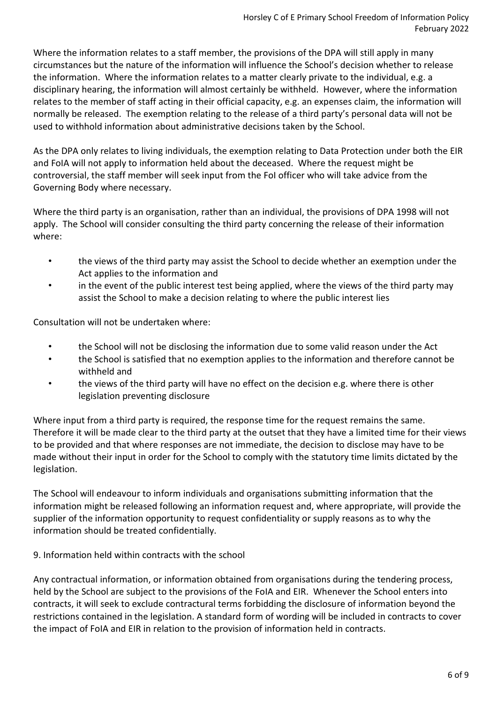Where the information relates to a staff member, the provisions of the DPA will still apply in many circumstances but the nature of the information will influence the School's decision whether to release the information. Where the information relates to a matter clearly private to the individual, e.g. a disciplinary hearing, the information will almost certainly be withheld. However, where the information relates to the member of staff acting in their official capacity, e.g. an expenses claim, the information will normally be released. The exemption relating to the release of a third party's personal data will not be used to withhold information about administrative decisions taken by the School.

As the DPA only relates to living individuals, the exemption relating to Data Protection under both the EIR and FoIA will not apply to information held about the deceased. Where the request might be controversial, the staff member will seek input from the FoI officer who will take advice from the Governing Body where necessary.

Where the third party is an organisation, rather than an individual, the provisions of DPA 1998 will not apply. The School will consider consulting the third party concerning the release of their information where:

- the views of the third party may assist the School to decide whether an exemption under the Act applies to the information and
- in the event of the public interest test being applied, where the views of the third party may assist the School to make a decision relating to where the public interest lies

Consultation will not be undertaken where:

- the School will not be disclosing the information due to some valid reason under the Act
- the School is satisfied that no exemption applies to the information and therefore cannot be withheld and
- the views of the third party will have no effect on the decision e.g. where there is other legislation preventing disclosure

Where input from a third party is required, the response time for the request remains the same. Therefore it will be made clear to the third party at the outset that they have a limited time for their views to be provided and that where responses are not immediate, the decision to disclose may have to be made without their input in order for the School to comply with the statutory time limits dictated by the legislation.

The School will endeavour to inform individuals and organisations submitting information that the information might be released following an information request and, where appropriate, will provide the supplier of the information opportunity to request confidentiality or supply reasons as to why the information should be treated confidentially.

9. Information held within contracts with the school

Any contractual information, or information obtained from organisations during the tendering process, held by the School are subject to the provisions of the FoIA and EIR. Whenever the School enters into contracts, it will seek to exclude contractural terms forbidding the disclosure of information beyond the restrictions contained in the legislation. A standard form of wording will be included in contracts to cover the impact of FoIA and EIR in relation to the provision of information held in contracts.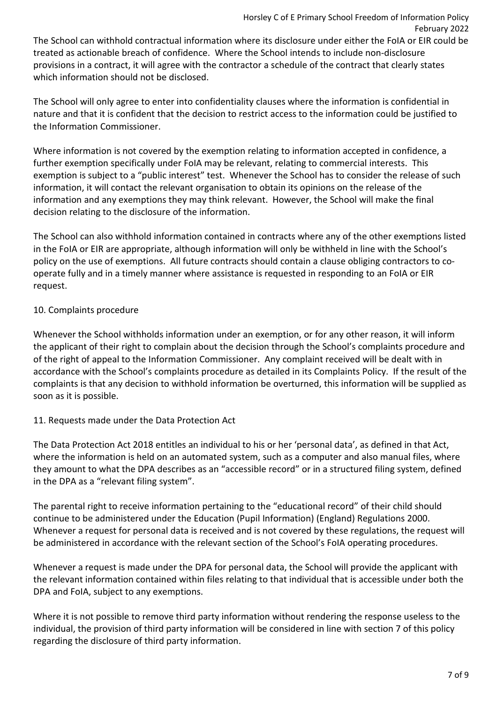treated as actionable breach of confidence. Where the School intends to include non-disclosure provisions in a contract, it will agree with the contractor a schedule of the contract that clearly states which information should not be disclosed.

The School will only agree to enter into confidentiality clauses where the information is confidential in nature and that it is confident that the decision to restrict access to the information could be justified to the Information Commissioner.

Where information is not covered by the exemption relating to information accepted in confidence, a further exemption specifically under FoIA may be relevant, relating to commercial interests. This exemption is subject to a "public interest" test. Whenever the School has to consider the release of such information, it will contact the relevant organisation to obtain its opinions on the release of the information and any exemptions they may think relevant. However, the School will make the final decision relating to the disclosure of the information.

The School can also withhold information contained in contracts where any of the other exemptions listed in the FoIA or EIR are appropriate, although information will only be withheld in line with the School's policy on the use of exemptions. All future contracts should contain a clause obliging contractors to cooperate fully and in a timely manner where assistance is requested in responding to an FoIA or EIR request.

# 10. Complaints procedure

Whenever the School withholds information under an exemption, or for any other reason, it will inform the applicant of their right to complain about the decision through the School's complaints procedure and of the right of appeal to the Information Commissioner. Any complaint received will be dealt with in accordance with the School's complaints procedure as detailed in its Complaints Policy. If the result of the complaints is that any decision to withhold information be overturned, this information will be supplied as soon as it is possible.

# 11. Requests made under the Data Protection Act

The Data Protection Act 2018 entitles an individual to his or her 'personal data', as defined in that Act, where the information is held on an automated system, such as a computer and also manual files, where they amount to what the DPA describes as an "accessible record" or in a structured filing system, defined in the DPA as a "relevant filing system".

The parental right to receive information pertaining to the "educational record" of their child should continue to be administered under the Education (Pupil Information) (England) Regulations 2000. Whenever a request for personal data is received and is not covered by these regulations, the request will be administered in accordance with the relevant section of the School's FoIA operating procedures.

Whenever a request is made under the DPA for personal data, the School will provide the applicant with the relevant information contained within files relating to that individual that is accessible under both the DPA and FoIA, subject to any exemptions.

Where it is not possible to remove third party information without rendering the response useless to the individual, the provision of third party information will be considered in line with section 7 of this policy regarding the disclosure of third party information.